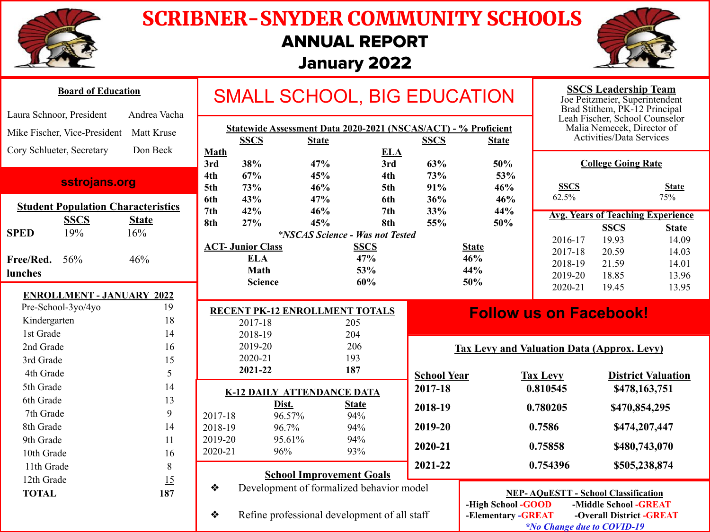

### SCRIBNER-SNYDER COMMUNITY SCHOOLS ANNUAL REPORT

### January 2022



| <b>Board of Education</b>                 |             |                                                                                                                              | <b>SMALL SCHOOL, BIG EDUCATION</b>        |                                               |                                                                             |                     |                                                        |                                                   | <b>SSCS Leadership Team</b><br>Joe Peitzmeier, Superintendent<br>Brad Stithem, PK-12 Principal |                                          |                           |  |
|-------------------------------------------|-------------|------------------------------------------------------------------------------------------------------------------------------|-------------------------------------------|-----------------------------------------------|-----------------------------------------------------------------------------|---------------------|--------------------------------------------------------|---------------------------------------------------|------------------------------------------------------------------------------------------------|------------------------------------------|---------------------------|--|
| Laura Schnoor, President<br>Andrea Vacha  |             |                                                                                                                              |                                           |                                               |                                                                             |                     |                                                        |                                                   |                                                                                                | Leah Fischer, School Counselor           |                           |  |
| Mike Fischer, Vice-President Matt Kruse   |             | Statewide Assessment Data 2020-2021 (NSCAS/ACT) - % Proficient<br><b>SSCS</b><br><b>SSCS</b><br><b>State</b><br><b>State</b> |                                           |                                               |                                                                             |                     | Malia Nemecek, Director of<br>Activities/Data Services |                                                   |                                                                                                |                                          |                           |  |
| Don Beck<br>Cory Schlueter, Secretary     |             | <b>Math</b>                                                                                                                  |                                           |                                               | <b>ELA</b>                                                                  |                     |                                                        |                                                   |                                                                                                |                                          |                           |  |
|                                           |             |                                                                                                                              | 3rd                                       | 38%                                           | 47%                                                                         | 3rd                 | 63%                                                    | 50%                                               |                                                                                                | <b>College Going Rate</b>                |                           |  |
| sstrojans.org                             |             |                                                                                                                              | 4th<br>5th                                | 67%<br>73%                                    | 45%<br>46%                                                                  | 4th<br>5th          | 73%<br>91%                                             | 53%<br>46%                                        | <b>SSCS</b>                                                                                    |                                          | <b>State</b>              |  |
| <b>Student Population Characteristics</b> |             | 6th<br>7 <sub>th</sub>                                                                                                       | 43%<br>42%                                | 47%<br>46%                                    | 6th<br>7th                                                                  | 36%<br>33%          | 46%<br>44%                                             | 62.5%                                             |                                                                                                | 75%                                      |                           |  |
|                                           | <b>SSCS</b> | <b>State</b>                                                                                                                 | 8th                                       | 27%                                           | 45%                                                                         | 8th                 | 55%                                                    | 50%                                               |                                                                                                | <b>Avg. Years of Teaching Experience</b> |                           |  |
| <b>SPED</b>                               | 19%         | 16%                                                                                                                          |                                           | <i><b>*NSCAS Science - Was not Tested</b></i> |                                                                             |                     |                                                        |                                                   | 2016-17                                                                                        | <b>SSCS</b><br>19.93                     | <b>State</b><br>14.09     |  |
|                                           |             |                                                                                                                              |                                           | <b>ACT- Junior Class</b>                      |                                                                             | <b>SSCS</b>         |                                                        | <b>State</b>                                      | 2017-18                                                                                        | 20.59                                    | 14.03                     |  |
| Free/Red.                                 | 56%         | 46%                                                                                                                          |                                           | <b>ELA</b>                                    |                                                                             | 47%                 |                                                        | 46%                                               | 2018-19                                                                                        | 21.59                                    | 14.01                     |  |
| lunches                                   |             |                                                                                                                              |                                           | Math                                          |                                                                             | 53%                 |                                                        | 44%                                               | 2019-20                                                                                        | 18.85                                    | 13.96                     |  |
| <b>ENROLLMENT - JANUARY 2022</b>          |             |                                                                                                                              |                                           | <b>Science</b>                                |                                                                             | 60%                 |                                                        | 50%                                               | 2020-21                                                                                        | 19.45                                    | 13.95                     |  |
| Pre-School-3yo/4yo                        |             | 19                                                                                                                           |                                           |                                               |                                                                             |                     |                                                        |                                                   |                                                                                                |                                          |                           |  |
| Kindergarten                              |             | 18                                                                                                                           | RECENT PK-12 ENROLLMENT TOTALS<br>2017-18 |                                               |                                                                             | 205                 |                                                        | <b>Follow us on Facebook!</b>                     |                                                                                                |                                          |                           |  |
| 1st Grade                                 |             | 14                                                                                                                           |                                           | 2018-19                                       | 204                                                                         |                     |                                                        |                                                   |                                                                                                |                                          |                           |  |
| 2nd Grade                                 |             | 16                                                                                                                           |                                           | 2019-20                                       |                                                                             | 206                 |                                                        | <b>Tax Levy and Valuation Data (Approx. Levy)</b> |                                                                                                |                                          |                           |  |
| 3rd Grade                                 |             | 15                                                                                                                           |                                           | 2020-21                                       |                                                                             | 193                 |                                                        |                                                   |                                                                                                |                                          |                           |  |
| 4th Grade                                 |             |                                                                                                                              |                                           |                                               |                                                                             |                     |                                                        |                                                   |                                                                                                |                                          |                           |  |
| 5th Grade                                 |             | 5                                                                                                                            |                                           | 2021-22                                       | 187                                                                         |                     |                                                        |                                                   |                                                                                                |                                          |                           |  |
|                                           |             | 14                                                                                                                           |                                           |                                               |                                                                             |                     | <b>School Year</b><br>2017-18                          |                                                   | <b>Tax Levy</b><br>0.810545                                                                    |                                          | <b>District Valuation</b> |  |
| 6th Grade                                 |             | 13                                                                                                                           |                                           |                                               | <b>K-12 DAILY ATTENDANCE DATA</b>                                           |                     |                                                        |                                                   |                                                                                                | \$478,163,751                            |                           |  |
| 7th Grade                                 |             | 9                                                                                                                            | 2017-18                                   | Dist.                                         |                                                                             | <b>State</b><br>94% | 2018-19                                                |                                                   | 0.780205                                                                                       | \$470,854,295                            |                           |  |
| 8th Grade                                 |             | 14                                                                                                                           | 2018-19                                   | 96.57%<br>96.7%                               |                                                                             | 94%                 | 2019-20                                                |                                                   | 0.7586                                                                                         | \$474,207,447                            |                           |  |
| 9th Grade                                 |             | 11                                                                                                                           | 2019-20                                   | 95.61%                                        |                                                                             | 94%                 |                                                        |                                                   |                                                                                                |                                          |                           |  |
| 10th Grade                                |             | 16                                                                                                                           | 2020-21                                   | 96%                                           |                                                                             | 93%                 | 2020-21                                                |                                                   | 0.75858                                                                                        | \$480,743,070                            |                           |  |
| 11th Grade                                |             | $\,$ 8 $\,$                                                                                                                  |                                           |                                               |                                                                             |                     | 2021-22                                                |                                                   | 0.754396                                                                                       | \$505,238,874                            |                           |  |
| 12th Grade<br><b>TOTAL</b>                |             | 15<br>187                                                                                                                    | ❖                                         |                                               | <b>School Improvement Goals</b><br>Development of formalized behavior model |                     |                                                        |                                                   |                                                                                                |                                          |                           |  |